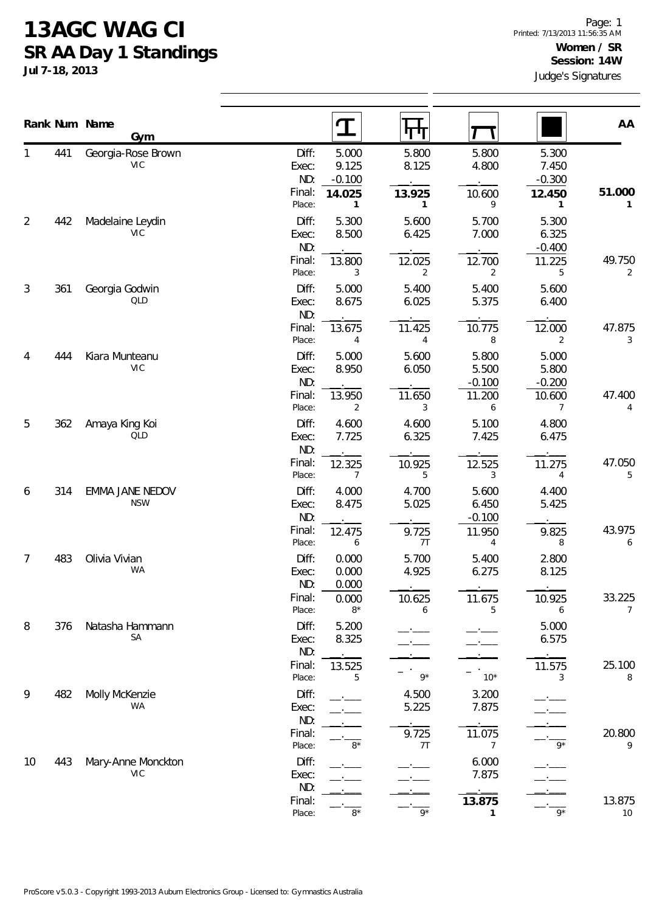## **13AGC WAG CI SR AA Day 1 Standings**

**Jul 7-18, 2013**

|        | Rank Num Name | Gym                              | ${\bf T}$                                           | पाण                           |                            |                            | AA               |
|--------|---------------|----------------------------------|-----------------------------------------------------|-------------------------------|----------------------------|----------------------------|------------------|
|        | 441           | Georgia-Rose Brown<br><b>VIC</b> | 5.000<br>Diff:<br>9.125<br>Exec:<br>ND:<br>$-0.100$ | 5.800<br>8.125                | 5.800<br>4.800             | 5.300<br>7.450<br>$-0.300$ |                  |
|        |               |                                  | Final:<br>14.025<br>Place:                          | 13.925<br>1<br>$\mathbf{1}$   | 10.600<br>9                | 12.450<br>1                | 51.000<br>1      |
| 2      | 442           | Madelaine Leydin<br>VIC          | Diff:<br>5.300<br>8.500<br>Exec:<br>ND:             | 5.600<br>6.425                | 5.700<br>7.000             | 5.300<br>6.325<br>$-0.400$ |                  |
|        |               |                                  | Final:<br>13.800<br>Place:                          | 12.025<br>3<br>$\overline{2}$ | 12.700<br>$\overline{2}$   | 11.225<br>5                | 49.750<br>2      |
| 3      | 361           | Georgia Godwin<br><b>QLD</b>     | Diff:<br>5.000<br>8.675<br>Exec:<br>ND:             | 5.400<br>6.025                | 5.400<br>5.375             | 5.600<br>6.400             |                  |
|        |               |                                  | Final:<br>13.675<br>Place:                          | 11.425<br>$\overline{4}$<br>4 | 10.775<br>8                | 12.000<br>2                | 47.875<br>3      |
| 4<br>5 | 444           | Kiara Munteanu<br><b>VIC</b>     | 5.000<br>Diff:<br>8.950<br>Exec:<br>ND:             | 5.600<br>6.050                | 5.800<br>5.500<br>$-0.100$ | 5.000<br>5.800<br>$-0.200$ |                  |
|        |               |                                  | Final:<br>13.950<br>Place:                          | 11.650<br>3<br>2              | 11.200<br>6                | 10.600<br>7                | 47.400<br>4      |
|        | 362           | Amaya King Koi<br><b>QLD</b>     | Diff:<br>4.600<br>7.725<br>Exec:<br>ND:             | 4.600<br>6.325                | 5.100<br>7.425             | 4.800<br>6.475             |                  |
|        |               |                                  | Final:<br>12.325<br>Place:                          | 10.925<br>5<br>7              | 12.525<br>3                | 11.275<br>4                | 47.050<br>5      |
| 6      | 314           | EMMA JANE NEDOV<br><b>NSW</b>    | Diff:<br>4.000<br>8.475<br>Exec:<br>ND:             | 4.700<br>5.025                | 5.600<br>6.450<br>$-0.100$ | 4.400<br>5.425             |                  |
|        |               |                                  | Final:<br>12.475<br>Place:                          | 9.725<br>7T<br>6              | 11.950<br>4                | 9.825<br>8                 | 43.975<br>6      |
| 7      | 483           | Olivia Vivian<br>WA              | Diff:<br>0.000<br>0.000<br>Exec:<br>ND:<br>0.000    | 5.700<br>4.925                | 5.400<br>6.275             | 2.800<br>8.125             |                  |
|        |               |                                  | Final:<br>0.000<br>Place:                           | 10.625<br>$8*$<br>6           | 11.675<br>5                | 10.925<br>6                | 33.225<br>7      |
| 8      | 376           | Natasha Hammann<br>SA            | Diff:<br>5.200<br>8.325<br>Exec:<br>ND:             |                               |                            | 5.000<br>6.575             |                  |
|        |               |                                  | Final:<br>13.525<br>Place:                          | $9*$<br>5                     | $10*$                      | 11.575<br>3                | 25.100<br>8      |
| 9      | 482           | Molly McKenzie<br>WA             | Diff:<br>Exec:<br>ND:                               | 4.500<br>5.225                | 3.200<br>7.875             |                            |                  |
|        |               |                                  | Final:<br>Place:                                    | 9.725<br>$8*$<br>7T           | 11.075<br>7                | $9*$                       | 20.800<br>9      |
| 10     | 443           | Mary-Anne Monckton<br><b>VIC</b> | Diff:<br>Exec:<br>ND:                               |                               | 6.000<br>7.875             |                            |                  |
|        |               |                                  | Final:<br>Place:                                    | $8^{\star}$<br>$9*$           | 13.875<br>1                | $9*$                       | 13.875<br>$10\,$ |